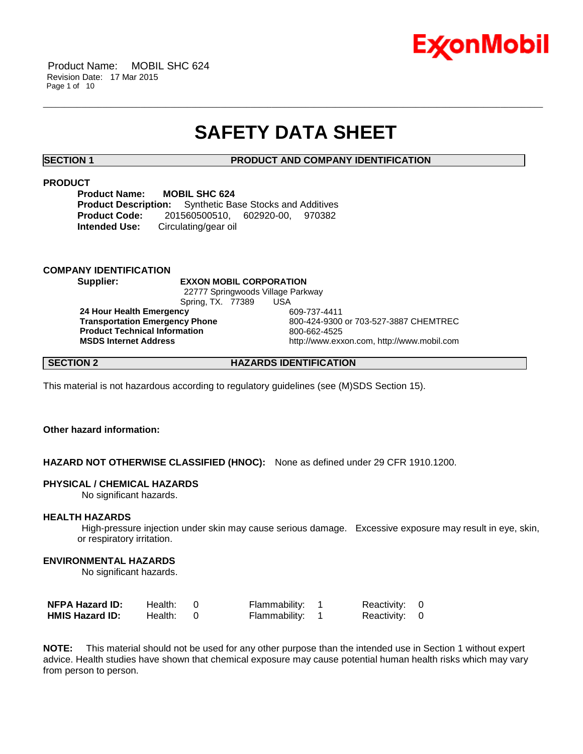

Product Name: MOBIL SHC 624 Revision Date: 17 Mar 2015 Page 1 of 10

# **SAFETY DATA SHEET**

\_\_\_\_\_\_\_\_\_\_\_\_\_\_\_\_\_\_\_\_\_\_\_\_\_\_\_\_\_\_\_\_\_\_\_\_\_\_\_\_\_\_\_\_\_\_\_\_\_\_\_\_\_\_\_\_\_\_\_\_\_\_\_\_\_\_\_\_\_\_\_\_\_\_\_\_\_\_\_\_\_\_\_\_\_\_\_\_\_\_\_\_\_\_\_\_\_\_\_\_\_\_\_\_\_\_\_\_\_\_\_\_\_\_\_\_\_\_

# **SECTION 1 PRODUCT AND COMPANY IDENTIFICATION**

# **PRODUCT**

**Product Name: MOBIL SHC 624 Product Description:** Synthetic Base Stocks and Additives **Product Code:** 201560500510, 602920-00, 970382 **Intended Use:** Circulating/gear oil

#### **COMPANY IDENTIFICATION**

**Supplier: EXXON MOBIL CORPORATION** 22777 Springwoods Village Parkway Spring, TX. 77389 USA

**24 Hour Health Emergency** 609-737-4411 **Product Technical Information**<br> **MSDS Internet Address**<br> **MSDS Internet Address** 

**Transportation Emergency Phone** 800-424-9300 or 703-527-3887 CHEMTREC **MSDS Internet Address** http://www.exxon.com, http://www.mobil.com

# **SECTION 2 HAZARDS IDENTIFICATION**

This material is not hazardous according to regulatory guidelines (see (M)SDS Section 15).

# **Other hazard information:**

# **HAZARD NOT OTHERWISE CLASSIFIED (HNOC):** None as defined under 29 CFR 1910.1200.

#### **PHYSICAL / CHEMICAL HAZARDS**

No significant hazards.

### **HEALTH HAZARDS**

High-pressure injection under skin may cause serious damage. Excessive exposure may result in eye, skin, or respiratory irritation.

# **ENVIRONMENTAL HAZARDS**

No significant hazards.

| <b>NFPA Hazard ID:</b> | Health: | Flammability:   | Reactivity: 0 |  |
|------------------------|---------|-----------------|---------------|--|
| <b>HMIS Hazard ID:</b> | Health: | Flammability: 1 | Reactivity: 0 |  |

**NOTE:** This material should not be used for any other purpose than the intended use in Section 1 without expert advice. Health studies have shown that chemical exposure may cause potential human health risks which may vary from person to person.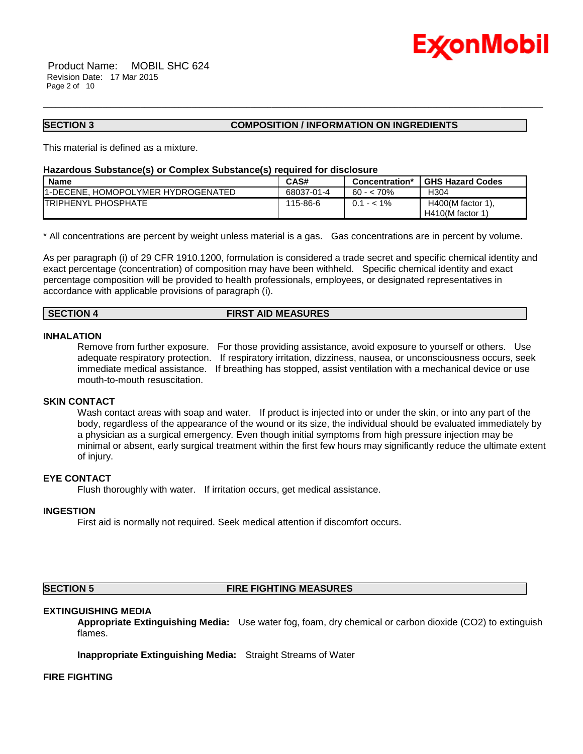

Product Name: MOBIL SHC 624 Revision Date: 17 Mar 2015 Page 2 of 10

### **SECTION 3 COMPOSITION / INFORMATION ON INGREDIENTS**

This material is defined as a mixture.

#### **Hazardous Substance(s) or Complex Substance(s) required for disclosure**

| <b>Name</b>                                | CAS#       | Concentration* | <b>GHS Hazard Codes</b>                   |
|--------------------------------------------|------------|----------------|-------------------------------------------|
| <b>11-DECENE. HOMOPOLYMER HYDROGENATED</b> | 68037-01-4 | 60 - < 70%     | H304                                      |
| <b>ITRIPHENYL PHOSPHATE</b>                | 115-86-6   | $0.1 - 5.1\%$  | $H400(M$ factor 1),<br>$H410(M$ factor 1) |

\_\_\_\_\_\_\_\_\_\_\_\_\_\_\_\_\_\_\_\_\_\_\_\_\_\_\_\_\_\_\_\_\_\_\_\_\_\_\_\_\_\_\_\_\_\_\_\_\_\_\_\_\_\_\_\_\_\_\_\_\_\_\_\_\_\_\_\_\_\_\_\_\_\_\_\_\_\_\_\_\_\_\_\_\_\_\_\_\_\_\_\_\_\_\_\_\_\_\_\_\_\_\_\_\_\_\_\_\_\_\_\_\_\_\_\_\_\_

\* All concentrations are percent by weight unless material is a gas. Gas concentrations are in percent by volume.

As per paragraph (i) of 29 CFR 1910.1200, formulation is considered a trade secret and specific chemical identity and exact percentage (concentration) of composition may have been withheld. Specific chemical identity and exact percentage composition will be provided to health professionals, employees, or designated representatives in accordance with applicable provisions of paragraph (i).

# **SECTION 4 FIRST AID MEASURES**

#### **INHALATION**

Remove from further exposure. For those providing assistance, avoid exposure to yourself or others. Use adequate respiratory protection. If respiratory irritation, dizziness, nausea, or unconsciousness occurs, seek immediate medical assistance. If breathing has stopped, assist ventilation with a mechanical device or use mouth-to-mouth resuscitation.

#### **SKIN CONTACT**

Wash contact areas with soap and water. If product is injected into or under the skin, or into any part of the body, regardless of the appearance of the wound or its size, the individual should be evaluated immediately by a physician as a surgical emergency. Even though initial symptoms from high pressure injection may be minimal or absent, early surgical treatment within the first few hours may significantly reduce the ultimate extent of injury.

# **EYE CONTACT**

Flush thoroughly with water. If irritation occurs, get medical assistance.

#### **INGESTION**

First aid is normally not required. Seek medical attention if discomfort occurs.

#### **SECTION 5 FIRE FIGHTING MEASURES**

#### **EXTINGUISHING MEDIA**

**Appropriate Extinguishing Media:** Use water fog, foam, dry chemical or carbon dioxide (CO2) to extinguish flames.

**Inappropriate Extinguishing Media:** Straight Streams of Water

#### **FIRE FIGHTING**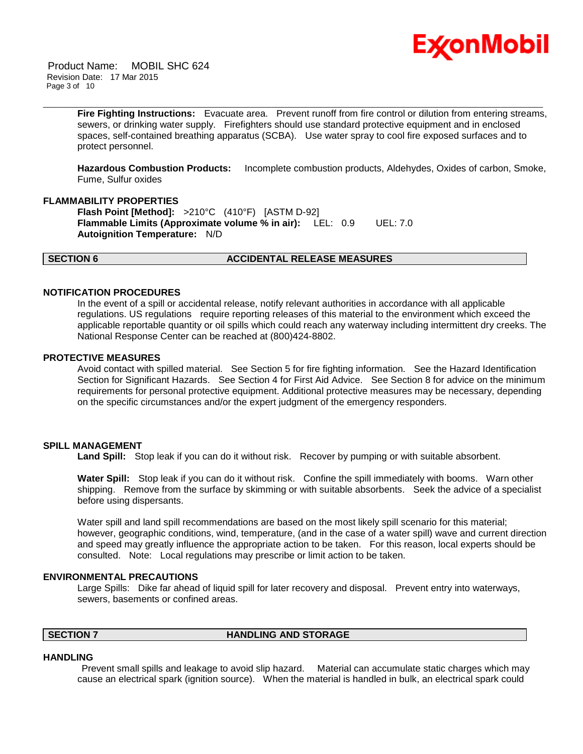

Product Name: MOBIL SHC 624 Revision Date: 17 Mar 2015 Page 3 of 10

> **Fire Fighting Instructions:** Evacuate area. Prevent runoff from fire control or dilution from entering streams, sewers, or drinking water supply. Firefighters should use standard protective equipment and in enclosed spaces, self-contained breathing apparatus (SCBA). Use water spray to cool fire exposed surfaces and to protect personnel.

\_\_\_\_\_\_\_\_\_\_\_\_\_\_\_\_\_\_\_\_\_\_\_\_\_\_\_\_\_\_\_\_\_\_\_\_\_\_\_\_\_\_\_\_\_\_\_\_\_\_\_\_\_\_\_\_\_\_\_\_\_\_\_\_\_\_\_\_\_\_\_\_\_\_\_\_\_\_\_\_\_\_\_\_\_\_\_\_\_\_\_\_\_\_\_\_\_\_\_\_\_\_\_\_\_\_\_\_\_\_\_\_\_\_\_\_\_\_

**Hazardous Combustion Products:** Incomplete combustion products, Aldehydes, Oxides of carbon, Smoke, Fume, Sulfur oxides

### **FLAMMABILITY PROPERTIES**

**Flash Point [Method]:** >210°C (410°F) [ASTM D-92] **Flammable Limits (Approximate volume % in air):** LEL: 0.9 UEL: 7.0 **Autoignition Temperature:** N/D

#### **SECTION 6 ACCIDENTAL RELEASE MEASURES**

#### **NOTIFICATION PROCEDURES**

In the event of a spill or accidental release, notify relevant authorities in accordance with all applicable regulations. US regulations require reporting releases of this material to the environment which exceed the applicable reportable quantity or oil spills which could reach any waterway including intermittent dry creeks. The National Response Center can be reached at (800)424-8802.

#### **PROTECTIVE MEASURES**

Avoid contact with spilled material. See Section 5 for fire fighting information. See the Hazard Identification Section for Significant Hazards. See Section 4 for First Aid Advice. See Section 8 for advice on the minimum requirements for personal protective equipment. Additional protective measures may be necessary, depending on the specific circumstances and/or the expert judgment of the emergency responders.

### **SPILL MANAGEMENT**

Land Spill: Stop leak if you can do it without risk. Recover by pumping or with suitable absorbent.

**Water Spill:** Stop leak if you can do it without risk. Confine the spill immediately with booms. Warn other shipping. Remove from the surface by skimming or with suitable absorbents. Seek the advice of a specialist before using dispersants.

Water spill and land spill recommendations are based on the most likely spill scenario for this material; however, geographic conditions, wind, temperature, (and in the case of a water spill) wave and current direction and speed may greatly influence the appropriate action to be taken. For this reason, local experts should be consulted. Note: Local regulations may prescribe or limit action to be taken.

#### **ENVIRONMENTAL PRECAUTIONS**

Large Spills: Dike far ahead of liquid spill for later recovery and disposal. Prevent entry into waterways, sewers, basements or confined areas.

# **SECTION 7 HANDLING AND STORAGE**

#### **HANDLING**

Prevent small spills and leakage to avoid slip hazard. Material can accumulate static charges which may cause an electrical spark (ignition source). When the material is handled in bulk, an electrical spark could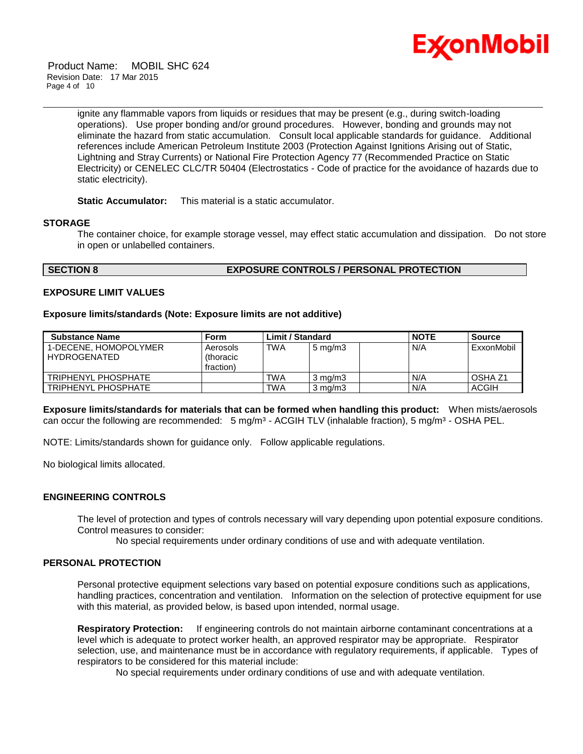

Product Name: MOBIL SHC 624 Revision Date: 17 Mar 2015 Page 4 of 10

> ignite any flammable vapors from liquids or residues that may be present (e.g., during switch-loading operations). Use proper bonding and/or ground procedures. However, bonding and grounds may not eliminate the hazard from static accumulation. Consult local applicable standards for guidance. Additional references include American Petroleum Institute 2003 (Protection Against Ignitions Arising out of Static, Lightning and Stray Currents) or National Fire Protection Agency 77 (Recommended Practice on Static Electricity) or CENELEC CLC/TR 50404 (Electrostatics - Code of practice for the avoidance of hazards due to static electricity).

\_\_\_\_\_\_\_\_\_\_\_\_\_\_\_\_\_\_\_\_\_\_\_\_\_\_\_\_\_\_\_\_\_\_\_\_\_\_\_\_\_\_\_\_\_\_\_\_\_\_\_\_\_\_\_\_\_\_\_\_\_\_\_\_\_\_\_\_\_\_\_\_\_\_\_\_\_\_\_\_\_\_\_\_\_\_\_\_\_\_\_\_\_\_\_\_\_\_\_\_\_\_\_\_\_\_\_\_\_\_\_\_\_\_\_\_\_\_

**Static Accumulator:** This material is a static accumulator.

# **STORAGE**

The container choice, for example storage vessel, may effect static accumulation and dissipation. Do not store in open or unlabelled containers.

# **SECTION 8 EXPOSURE CONTROLS / PERSONAL PROTECTION**

#### **EXPOSURE LIMIT VALUES**

#### **Exposure limits/standards (Note: Exposure limits are not additive)**

| <b>Substance Name</b>                        | Form                                | <b>Limit / Standard</b> |                  | <b>NOTE</b> | <b>Source</b> |                    |
|----------------------------------------------|-------------------------------------|-------------------------|------------------|-------------|---------------|--------------------|
| 1-DECENE, HOMOPOLYMER<br><b>HYDROGENATED</b> | Aerosols<br>(thoracic)<br>fraction) | TWA                     | $5 \text{ mg/m}$ |             | N/A           | ExxonMobil         |
| TRIPHENYL PHOSPHATE                          |                                     | <b>TWA</b>              | $3 \text{ ma/m}$ |             | N/A           | OSHA <sub>Z1</sub> |
| TRIPHENYL PHOSPHATE                          |                                     | <b>TWA</b>              | $3 \text{ mg/m}$ |             | N/A           | <b>ACGIH</b>       |

**Exposure limits/standards for materials that can be formed when handling this product:** When mists/aerosols can occur the following are recommended:  $5 \text{ mg/m}^3$  - ACGIH TLV (inhalable fraction),  $5 \text{ mg/m}^3$  - OSHA PEL.

NOTE: Limits/standards shown for guidance only. Follow applicable regulations.

No biological limits allocated.

# **ENGINEERING CONTROLS**

The level of protection and types of controls necessary will vary depending upon potential exposure conditions. Control measures to consider:

No special requirements under ordinary conditions of use and with adequate ventilation.

### **PERSONAL PROTECTION**

Personal protective equipment selections vary based on potential exposure conditions such as applications, handling practices, concentration and ventilation. Information on the selection of protective equipment for use with this material, as provided below, is based upon intended, normal usage.

**Respiratory Protection:** If engineering controls do not maintain airborne contaminant concentrations at a level which is adequate to protect worker health, an approved respirator may be appropriate. Respirator selection, use, and maintenance must be in accordance with regulatory requirements, if applicable. Types of respirators to be considered for this material include:

No special requirements under ordinary conditions of use and with adequate ventilation.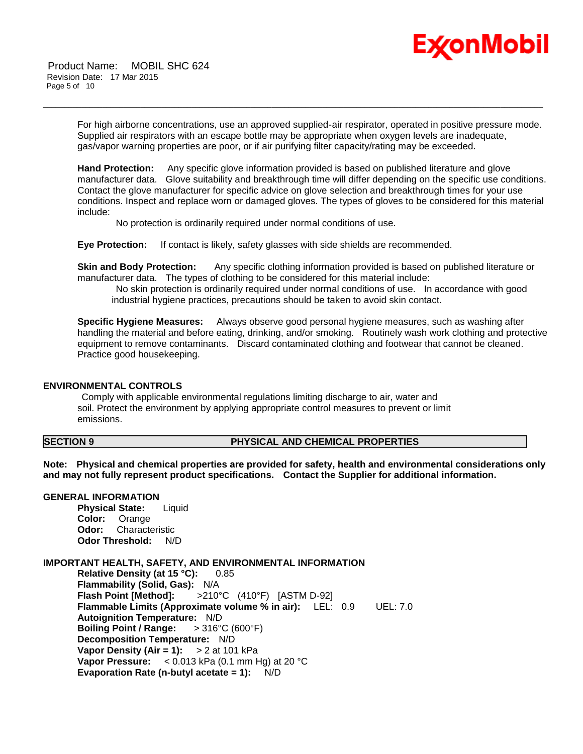

Product Name: MOBIL SHC 624 Revision Date: 17 Mar 2015 Page 5 of 10

> For high airborne concentrations, use an approved supplied-air respirator, operated in positive pressure mode. Supplied air respirators with an escape bottle may be appropriate when oxygen levels are inadequate, gas/vapor warning properties are poor, or if air purifying filter capacity/rating may be exceeded.

\_\_\_\_\_\_\_\_\_\_\_\_\_\_\_\_\_\_\_\_\_\_\_\_\_\_\_\_\_\_\_\_\_\_\_\_\_\_\_\_\_\_\_\_\_\_\_\_\_\_\_\_\_\_\_\_\_\_\_\_\_\_\_\_\_\_\_\_\_\_\_\_\_\_\_\_\_\_\_\_\_\_\_\_\_\_\_\_\_\_\_\_\_\_\_\_\_\_\_\_\_\_\_\_\_\_\_\_\_\_\_\_\_\_\_\_\_\_

**Hand Protection:** Any specific glove information provided is based on published literature and glove manufacturer data. Glove suitability and breakthrough time will differ depending on the specific use conditions. Contact the glove manufacturer for specific advice on glove selection and breakthrough times for your use conditions. Inspect and replace worn or damaged gloves. The types of gloves to be considered for this material include:

No protection is ordinarily required under normal conditions of use.

**Eye Protection:** If contact is likely, safety glasses with side shields are recommended.

**Skin and Body Protection:** Any specific clothing information provided is based on published literature or manufacturer data. The types of clothing to be considered for this material include:

No skin protection is ordinarily required under normal conditions of use. In accordance with good industrial hygiene practices, precautions should be taken to avoid skin contact.

**Specific Hygiene Measures:** Always observe good personal hygiene measures, such as washing after handling the material and before eating, drinking, and/or smoking. Routinely wash work clothing and protective equipment to remove contaminants. Discard contaminated clothing and footwear that cannot be cleaned. Practice good housekeeping.

#### **ENVIRONMENTAL CONTROLS**

Comply with applicable environmental regulations limiting discharge to air, water and soil. Protect the environment by applying appropriate control measures to prevent or limit emissions.

# **SECTION 9 PHYSICAL AND CHEMICAL PROPERTIES**

**Note: Physical and chemical properties are provided for safety, health and environmental considerations only and may not fully represent product specifications. Contact the Supplier for additional information.**

# **GENERAL INFORMATION**

**Physical State:** Liquid **Color:** Orange **Odor:** Characteristic **Odor Threshold:** N/D

#### **IMPORTANT HEALTH, SAFETY, AND ENVIRONMENTAL INFORMATION**

**Relative Density (at 15 °C):** 0.85 **Flammability (Solid, Gas):** N/A **Flash Point [Method]:** >210°C (410°F) [ASTM D-92] **Flammable Limits (Approximate volume % in air):** LEL: 0.9 UEL: 7.0 **Autoignition Temperature:** N/D **Boiling Point / Range:** > 316°C (600°F) **Decomposition Temperature:** N/D **Vapor Density (Air = 1):** > 2 at 101 kPa **Vapor Pressure:** < 0.013 kPa (0.1 mm Hg) at 20 °C **Evaporation Rate (n-butyl acetate = 1):** N/D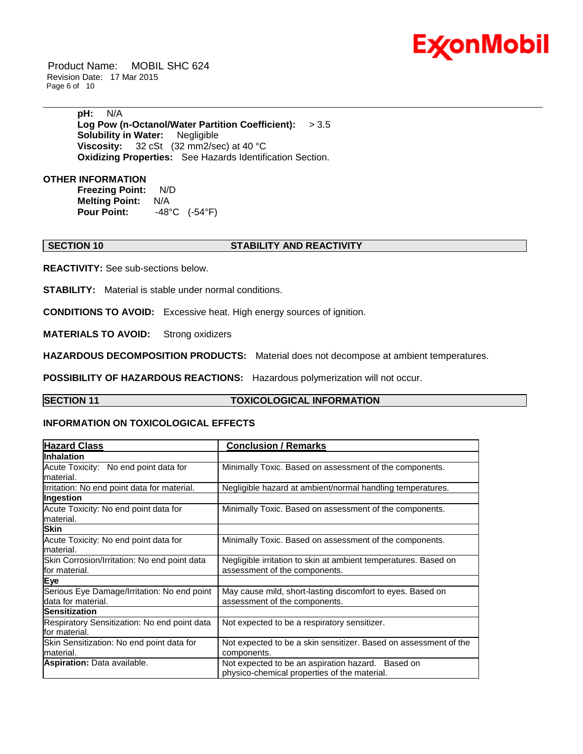

Product Name: MOBIL SHC 624 Revision Date: 17 Mar 2015 Page 6 of 10

> **pH:** N/A **Log Pow (n-Octanol/Water Partition Coefficient):** > 3.5 **Solubility in Water:** Negligible **Viscosity:** 32 cSt (32 mm2/sec) at 40 °C **Oxidizing Properties:** See Hazards Identification Section.

# **OTHER INFORMATION**

**Freezing Point:** N/D **Melting Point:** N/A **Pour Point:** -48°C (-54°F)

# **SECTION 10 STABILITY AND REACTIVITY**

\_\_\_\_\_\_\_\_\_\_\_\_\_\_\_\_\_\_\_\_\_\_\_\_\_\_\_\_\_\_\_\_\_\_\_\_\_\_\_\_\_\_\_\_\_\_\_\_\_\_\_\_\_\_\_\_\_\_\_\_\_\_\_\_\_\_\_\_\_\_\_\_\_\_\_\_\_\_\_\_\_\_\_\_\_\_\_\_\_\_\_\_\_\_\_\_\_\_\_\_\_\_\_\_\_\_\_\_\_\_\_\_\_\_\_\_\_\_

**REACTIVITY:** See sub-sections below.

**STABILITY:** Material is stable under normal conditions.

**CONDITIONS TO AVOID:** Excessive heat. High energy sources of ignition.

**MATERIALS TO AVOID:** Strong oxidizers

**HAZARDOUS DECOMPOSITION PRODUCTS:** Material does not decompose at ambient temperatures.

**POSSIBILITY OF HAZARDOUS REACTIONS:** Hazardous polymerization will not occur.

### **SECTION 11 TOXICOLOGICAL INFORMATION**

### **INFORMATION ON TOXICOLOGICAL EFFECTS**

| <b>Hazard Class</b>                                               | <b>Conclusion / Remarks</b>                                                                       |
|-------------------------------------------------------------------|---------------------------------------------------------------------------------------------------|
| <b>Inhalation</b>                                                 |                                                                                                   |
| Acute Toxicity: No end point data for<br>lmaterial.               | Minimally Toxic. Based on assessment of the components.                                           |
| Irritation: No end point data for material.                       | Negligible hazard at ambient/normal handling temperatures.                                        |
| Ingestion                                                         |                                                                                                   |
| Acute Toxicity: No end point data for<br>lmaterial.               | Minimally Toxic. Based on assessment of the components.                                           |
| <b>Skin</b>                                                       |                                                                                                   |
| Acute Toxicity: No end point data for<br>lmaterial.               | Minimally Toxic. Based on assessment of the components.                                           |
| Skin Corrosion/Irritation: No end point data<br>lfor material.    | Negligible irritation to skin at ambient temperatures. Based on<br>assessment of the components.  |
| Eye                                                               |                                                                                                   |
| Serious Eye Damage/Irritation: No end point<br>data for material. | May cause mild, short-lasting discomfort to eyes. Based on<br>assessment of the components.       |
| Sensitization                                                     |                                                                                                   |
| Respiratory Sensitization: No end point data<br>lfor material.    | Not expected to be a respiratory sensitizer.                                                      |
| Skin Sensitization: No end point data for<br>lmaterial.           | Not expected to be a skin sensitizer. Based on assessment of the<br>components.                   |
| Aspiration: Data available.                                       | Not expected to be an aspiration hazard. Based on<br>physico-chemical properties of the material. |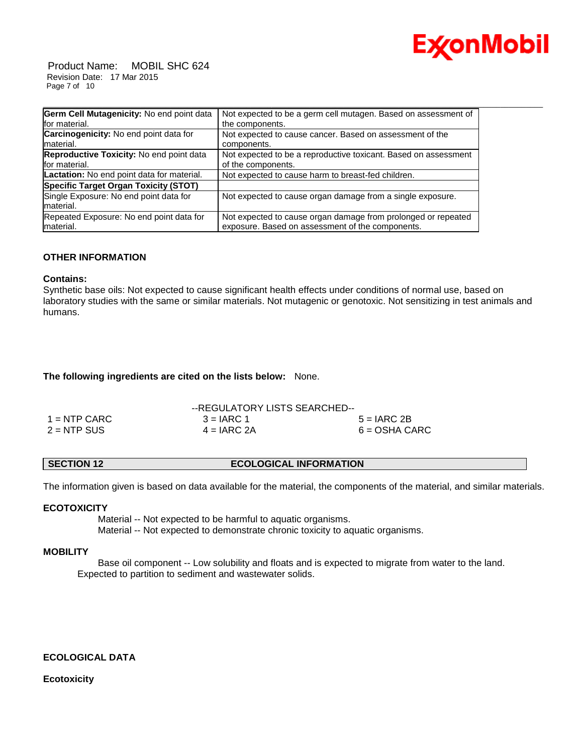

Product Name: MOBIL SHC 624 Revision Date: 17 Mar 2015 Page 7 of 10

| Germ Cell Mutagenicity: No end point data                 | Not expected to be a germ cell mutagen. Based on assessment of                                                    |
|-----------------------------------------------------------|-------------------------------------------------------------------------------------------------------------------|
| for material.                                             | the components.                                                                                                   |
| Carcinogenicity: No end point data for                    | Not expected to cause cancer. Based on assessment of the                                                          |
| material.                                                 | components.                                                                                                       |
| Reproductive Toxicity: No end point data<br>for material. | Not expected to be a reproductive toxicant. Based on assessment<br>of the components.                             |
| Lactation: No end point data for material.                | Not expected to cause harm to breast-fed children.                                                                |
| <b>Specific Target Organ Toxicity (STOT)</b>              |                                                                                                                   |
| Single Exposure: No end point data for<br>material.       | Not expected to cause organ damage from a single exposure.                                                        |
| Repeated Exposure: No end point data for<br>material.     | Not expected to cause organ damage from prolonged or repeated<br>exposure. Based on assessment of the components. |

# **OTHER INFORMATION**

# **Contains:**

Synthetic base oils: Not expected to cause significant health effects under conditions of normal use, based on laboratory studies with the same or similar materials. Not mutagenic or genotoxic. Not sensitizing in test animals and humans.

# **The following ingredients are cited on the lists below:** None.

|                | --REGULATORY LISTS SEARCHED-- |                 |  |
|----------------|-------------------------------|-----------------|--|
| $1 =$ NTP CARC | $3 = IARC 1$                  | $5 = IARC2B$    |  |
| $2 = NTP$ SUS  | $4 = IARC 2A$                 | $6 = OSHA CARC$ |  |

# **SECTION 12 ECOLOGICAL INFORMATION**

The information given is based on data available for the material, the components of the material, and similar materials.

# **ECOTOXICITY**

 Material -- Not expected to be harmful to aquatic organisms. Material -- Not expected to demonstrate chronic toxicity to aquatic organisms.

# **MOBILITY**

 Base oil component -- Low solubility and floats and is expected to migrate from water to the land. Expected to partition to sediment and wastewater solids.

# **ECOLOGICAL DATA**

**Ecotoxicity**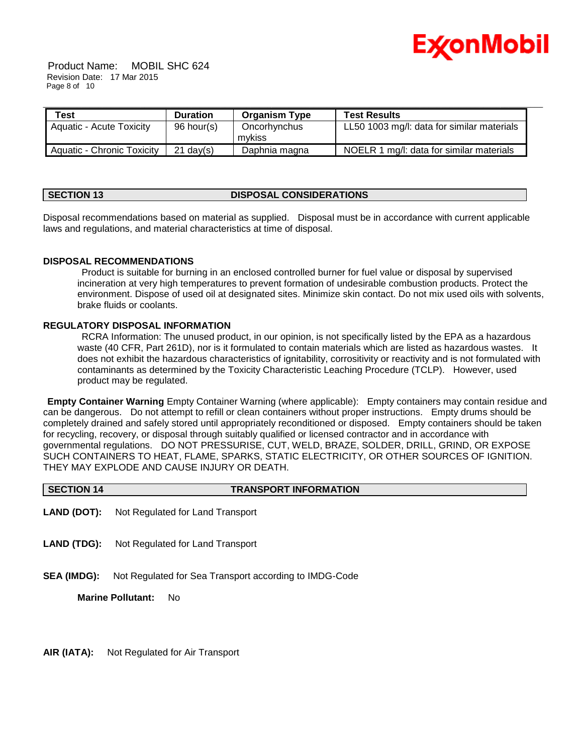

Product Name: MOBIL SHC 624 Revision Date: 17 Mar 2015 Page 8 of 10

| <b>Test</b>                     | <b>Duration</b>     | <b>Organism Type</b>   | <b>Test Results</b>                        |
|---------------------------------|---------------------|------------------------|--------------------------------------------|
| <b>Aquatic - Acute Toxicity</b> | 96 hour(s)          | Oncorhynchus<br>mykiss | LL50 1003 mg/l: data for similar materials |
| Aquatic - Chronic Toxicity      | $21 \text{ day}(s)$ | Daphnia magna          | NOELR 1 mg/l: data for similar materials   |

# **SECTION 13 DISPOSAL CONSIDERATIONS**

Disposal recommendations based on material as supplied. Disposal must be in accordance with current applicable laws and regulations, and material characteristics at time of disposal.

# **DISPOSAL RECOMMENDATIONS**

Product is suitable for burning in an enclosed controlled burner for fuel value or disposal by supervised incineration at very high temperatures to prevent formation of undesirable combustion products. Protect the environment. Dispose of used oil at designated sites. Minimize skin contact. Do not mix used oils with solvents, brake fluids or coolants.

# **REGULATORY DISPOSAL INFORMATION**

RCRA Information: The unused product, in our opinion, is not specifically listed by the EPA as a hazardous waste (40 CFR, Part 261D), nor is it formulated to contain materials which are listed as hazardous wastes. It does not exhibit the hazardous characteristics of ignitability, corrositivity or reactivity and is not formulated with contaminants as determined by the Toxicity Characteristic Leaching Procedure (TCLP). However, used product may be regulated.

**Empty Container Warning** Empty Container Warning (where applicable): Empty containers may contain residue and can be dangerous. Do not attempt to refill or clean containers without proper instructions. Empty drums should be completely drained and safely stored until appropriately reconditioned or disposed. Empty containers should be taken for recycling, recovery, or disposal through suitably qualified or licensed contractor and in accordance with governmental regulations. DO NOT PRESSURISE, CUT, WELD, BRAZE, SOLDER, DRILL, GRIND, OR EXPOSE SUCH CONTAINERS TO HEAT, FLAME, SPARKS, STATIC ELECTRICITY, OR OTHER SOURCES OF IGNITION. THEY MAY EXPLODE AND CAUSE INJURY OR DEATH.

| <b>SECTION 14</b> | <b>TRANSPORT INFORMATION</b> |
|-------------------|------------------------------|
|                   |                              |

- **LAND (DOT):** Not Regulated for Land Transport
- **LAND (TDG):** Not Regulated for Land Transport
- **SEA (IMDG):** Not Regulated for Sea Transport according to IMDG-Code

**Marine Pollutant:** No

**AIR (IATA):** Not Regulated for Air Transport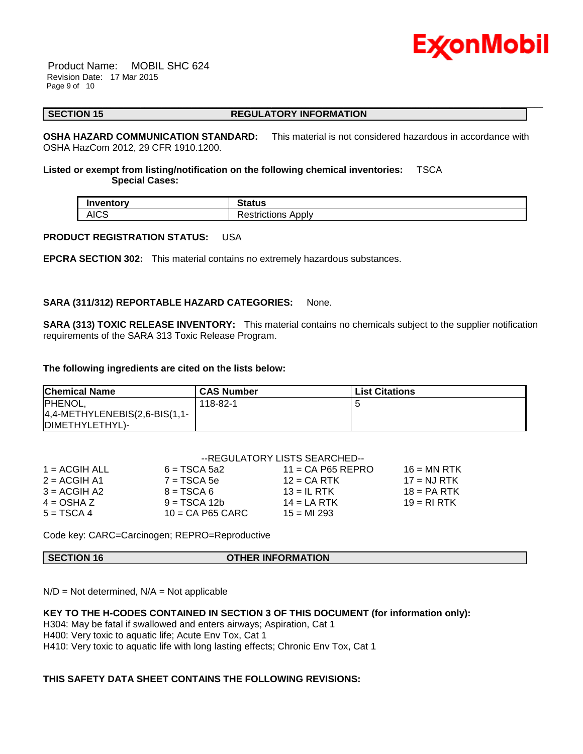

Product Name: MOBIL SHC 624 Revision Date: 17 Mar 2015 Page 9 of 10

\_\_\_\_\_\_\_\_\_\_\_\_\_\_\_\_\_\_\_\_\_\_\_\_\_\_\_\_\_\_\_\_\_\_\_\_\_\_\_\_\_\_\_\_\_\_\_\_\_\_\_\_\_\_\_\_\_\_\_\_\_\_\_\_\_\_\_\_\_\_\_\_\_\_\_\_\_\_\_\_\_\_\_\_\_\_\_\_\_\_\_\_\_\_\_\_\_\_\_\_\_\_\_\_\_\_\_\_\_\_\_\_\_\_\_\_\_\_ **SECTION 15 REGULATORY INFORMATION** 

**OSHA HAZARD COMMUNICATION STANDARD:** This material is not considered hazardous in accordance with OSHA HazCom 2012, 29 CFR 1910.1200.

**Listed or exempt from listing/notification on the following chemical inventories:** TSCA  **Special Cases:**

| Inventory   | <b>Status</b>              |
|-------------|----------------------------|
| <b>AICS</b> | -<br>Apply<br>Restrictions |

# **PRODUCT REGISTRATION STATUS:** USA

**EPCRA SECTION 302:** This material contains no extremely hazardous substances.

# **SARA (311/312) REPORTABLE HAZARD CATEGORIES:** None.

**SARA (313) TOXIC RELEASE INVENTORY:** This material contains no chemicals subject to the supplier notification requirements of the SARA 313 Toxic Release Program.

#### **The following ingredients are cited on the lists below:**

| <b>Chemical Name</b>             | <b>CAS Number</b> | <b>List Citations</b> |
|----------------------------------|-------------------|-----------------------|
| <b>PHENOL,</b>                   | 118-82-1          |                       |
| $4,4$ -METHYLENEBIS(2,6-BIS(1,1- |                   |                       |
| DIMETHYLETHYL)-                  |                   |                       |

|                 | --REGULATORY LISTS SEARCHED-- |                     |               |  |  |
|-----------------|-------------------------------|---------------------|---------------|--|--|
| $1 = ACGIH ALL$ | $6 = TSCA 5a2$                | $11 = CA$ P65 REPRO | $16 = MN$ RTK |  |  |
| $2 = ACGIH A1$  | $7 = TSCA5e$                  | $12$ = CA RTK       | $17 = NJ RTK$ |  |  |
| $3 = ACGIH A2$  | $8 = TSCA6$                   | $13 = IL$ RTK       | $18 = PA RTK$ |  |  |
| $4 = OSHA Z$    | $9 = TSCA 12b$                | $14 = LA RTK$       | $19 = R1 RTK$ |  |  |
| $5 = TSCA 4$    | $10 = CA$ P65 CARC            | $15 = M1293$        |               |  |  |

Code key: CARC=Carcinogen; REPRO=Reproductive

**SECTION 16 OTHER INFORMATION**

 $N/D = Not determined$ ,  $N/A = Not$  applicable

# **KEY TO THE H-CODES CONTAINED IN SECTION 3 OF THIS DOCUMENT (for information only):**

H304: May be fatal if swallowed and enters airways; Aspiration, Cat 1

H400: Very toxic to aquatic life; Acute Env Tox, Cat 1

H410: Very toxic to aquatic life with long lasting effects; Chronic Env Tox, Cat 1

# **THIS SAFETY DATA SHEET CONTAINS THE FOLLOWING REVISIONS:**